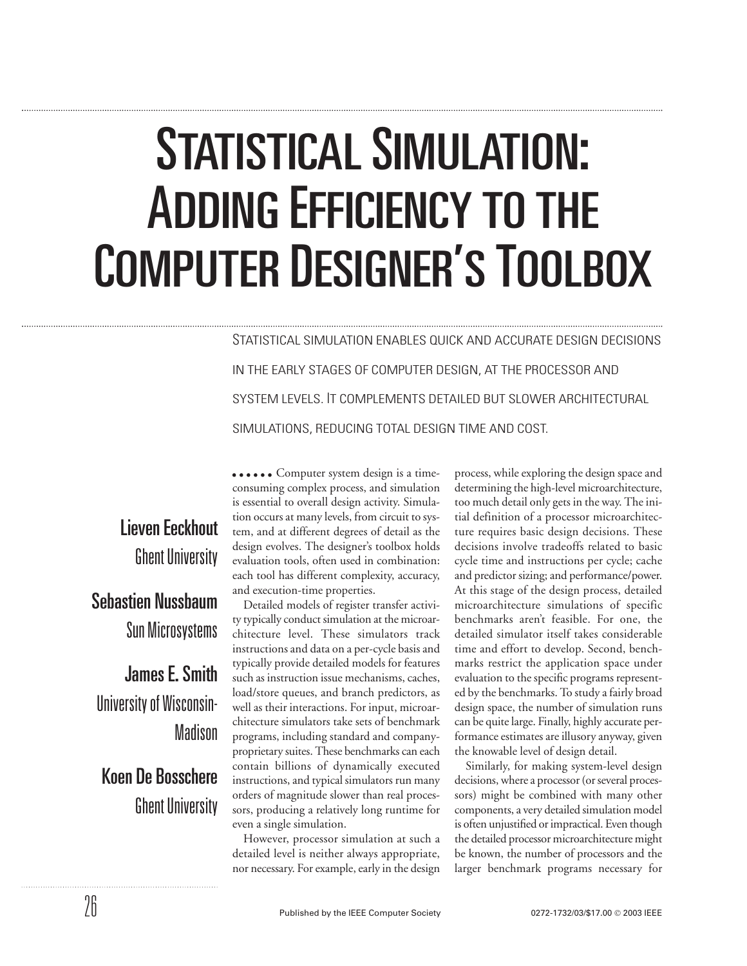# STATISTICAL SIMULATION: ADDING EFFICIENCY TO THE COMPUTER DESIGNER'S TOOLBOX

STATISTICAL SIMULATION ENABLES QUICK AND ACCURATE DESIGN DECISIONS IN THE EARLY STAGES OF COMPUTER DESIGN, AT THE PROCESSOR AND SYSTEM LEVELS. IT COMPLEMENTS DETAILED BUT SLOWER ARCHITECTURAL SIMULATIONS, REDUCING TOTAL DESIGN TIME AND COST.

Lieven Eeckhout Ghent University Sebastien Nussbaum Sun Microsystems James E. Smith University of Wisconsin-**Madison** Koen De Bosschere

Ghent University

Computer system design is a timeconsuming complex process, and simulation is essential to overall design activity. Simulation occurs at many levels, from circuit to system, and at different degrees of detail as the design evolves. The designer's toolbox holds evaluation tools, often used in combination: each tool has different complexity, accuracy, and execution-time properties.

Detailed models of register transfer activity typically conduct simulation at the microarchitecture level. These simulators track instructions and data on a per-cycle basis and typically provide detailed models for features such as instruction issue mechanisms, caches, load/store queues, and branch predictors, as well as their interactions. For input, microarchitecture simulators take sets of benchmark programs, including standard and companyproprietary suites. These benchmarks can each contain billions of dynamically executed instructions, and typical simulators run many orders of magnitude slower than real processors, producing a relatively long runtime for even a single simulation.

However, processor simulation at such a detailed level is neither always appropriate, nor necessary. For example, early in the design process, while exploring the design space and determining the high-level microarchitecture, too much detail only gets in the way. The initial definition of a processor microarchitecture requires basic design decisions. These decisions involve tradeoffs related to basic cycle time and instructions per cycle; cache and predictor sizing; and performance/power. At this stage of the design process, detailed microarchitecture simulations of specific benchmarks aren't feasible. For one, the detailed simulator itself takes considerable time and effort to develop. Second, benchmarks restrict the application space under evaluation to the specific programs represented by the benchmarks. To study a fairly broad design space, the number of simulation runs can be quite large. Finally, highly accurate performance estimates are illusory anyway, given the knowable level of design detail.

Similarly, for making system-level design decisions, where a processor (or several processors) might be combined with many other components, a very detailed simulation model is often unjustified or impractical. Even though the detailed processor microarchitecture might be known, the number of processors and the larger benchmark programs necessary for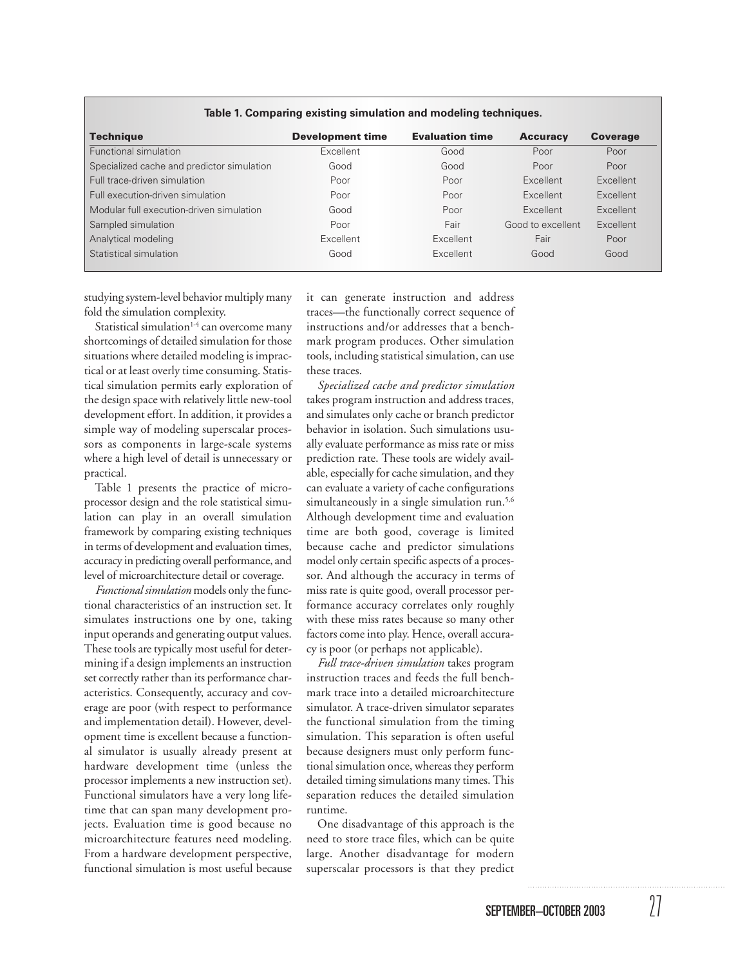| <b>Technique</b>                           | <b>Development time</b> | <b>Evaluation time</b> | <b>Accuracy</b>   | <b>Coverage</b> |
|--------------------------------------------|-------------------------|------------------------|-------------------|-----------------|
| Functional simulation                      | <b>Excellent</b>        | Good                   | Poor              | Poor            |
| Specialized cache and predictor simulation | Good                    | Good                   | Poor              | Poor            |
| Full trace-driven simulation               | Poor                    | Poor                   | Excellent         | Excellent       |
| Full execution-driven simulation           | Poor                    | Poor                   | <b>Excellent</b>  | Excellent       |
| Modular full execution-driven simulation   | Good                    | Poor                   | Excellent         | Excellent       |
| Sampled simulation                         | Poor                    | Fair                   | Good to excellent | Excellent       |
| Analytical modeling                        | Excellent               | Excellent              | Fair              | Poor            |
| Statistical simulation                     | Good                    | Excellent              | Good              | Good            |

# **Table 1. Comparing existing simulation and modeling techniques.**

studying system-level behavior multiply many fold the simulation complexity.

Statistical simulation<sup>1-4</sup> can overcome many shortcomings of detailed simulation for those situations where detailed modeling is impractical or at least overly time consuming. Statistical simulation permits early exploration of the design space with relatively little new-tool development effort. In addition, it provides a simple way of modeling superscalar processors as components in large-scale systems where a high level of detail is unnecessary or practical.

Table 1 presents the practice of microprocessor design and the role statistical simulation can play in an overall simulation framework by comparing existing techniques in terms of development and evaluation times, accuracy in predicting overall performance, and level of microarchitecture detail or coverage.

*Functional simulation* models only the functional characteristics of an instruction set. It simulates instructions one by one, taking input operands and generating output values. These tools are typically most useful for determining if a design implements an instruction set correctly rather than its performance characteristics. Consequently, accuracy and coverage are poor (with respect to performance and implementation detail). However, development time is excellent because a functional simulator is usually already present at hardware development time (unless the processor implements a new instruction set). Functional simulators have a very long lifetime that can span many development projects. Evaluation time is good because no microarchitecture features need modeling. From a hardware development perspective, functional simulation is most useful because it can generate instruction and address traces—the functionally correct sequence of instructions and/or addresses that a benchmark program produces. Other simulation tools, including statistical simulation, can use these traces.

*Specialized cache and predictor simulation* takes program instruction and address traces, and simulates only cache or branch predictor behavior in isolation. Such simulations usually evaluate performance as miss rate or miss prediction rate. These tools are widely available, especially for cache simulation, and they can evaluate a variety of cache configurations simultaneously in a single simulation run.<sup>5,6</sup> Although development time and evaluation time are both good, coverage is limited because cache and predictor simulations model only certain specific aspects of a processor. And although the accuracy in terms of miss rate is quite good, overall processor performance accuracy correlates only roughly with these miss rates because so many other factors come into play. Hence, overall accuracy is poor (or perhaps not applicable).

*Full trace-driven simulation* takes program instruction traces and feeds the full benchmark trace into a detailed microarchitecture simulator. A trace-driven simulator separates the functional simulation from the timing simulation. This separation is often useful because designers must only perform functional simulation once, whereas they perform detailed timing simulations many times. This separation reduces the detailed simulation runtime.

One disadvantage of this approach is the need to store trace files, which can be quite large. Another disadvantage for modern superscalar processors is that they predict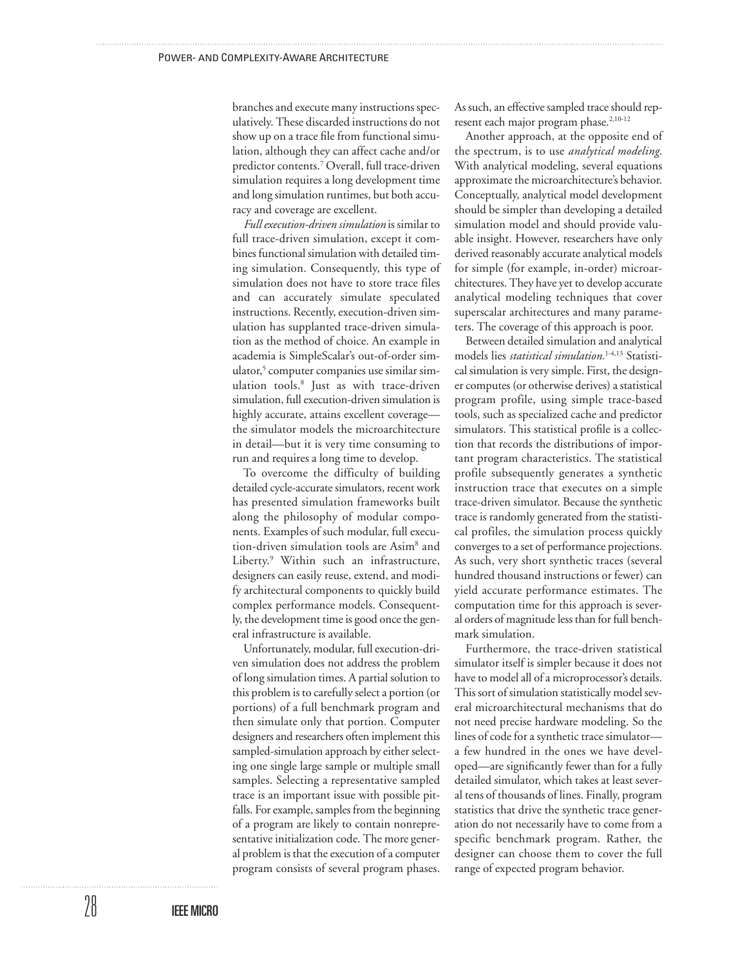branches and execute many instructions speculatively. These discarded instructions do not show up on a trace file from functional simulation, although they can affect cache and/or predictor contents.7 Overall, full trace-driven simulation requires a long development time and long simulation runtimes, but both accuracy and coverage are excellent.

*Full execution-driven simulation* is similar to full trace-driven simulation, except it combines functional simulation with detailed timing simulation. Consequently, this type of simulation does not have to store trace files and can accurately simulate speculated instructions. Recently, execution-driven simulation has supplanted trace-driven simulation as the method of choice. An example in academia is SimpleScalar's out-of-order simulator,<sup>5</sup> computer companies use similar simulation tools.8 Just as with trace-driven simulation, full execution-driven simulation is highly accurate, attains excellent coverage the simulator models the microarchitecture in detail—but it is very time consuming to run and requires a long time to develop.

To overcome the difficulty of building detailed cycle-accurate simulators, recent work has presented simulation frameworks built along the philosophy of modular components. Examples of such modular, full execution-driven simulation tools are Asim8 and Liberty.9 Within such an infrastructure, designers can easily reuse, extend, and modify architectural components to quickly build complex performance models. Consequently, the development time is good once the general infrastructure is available.

Unfortunately, modular, full execution-driven simulation does not address the problem of long simulation times. A partial solution to this problem is to carefully select a portion (or portions) of a full benchmark program and then simulate only that portion. Computer designers and researchers often implement this sampled-simulation approach by either selecting one single large sample or multiple small samples. Selecting a representative sampled trace is an important issue with possible pitfalls. For example, samples from the beginning of a program are likely to contain nonrepresentative initialization code. The more general problem is that the execution of a computer program consists of several program phases.

As such, an effective sampled trace should represent each major program phase.<sup>2,10-12</sup>

Another approach, at the opposite end of the spectrum, is to use *analytical modeling*. With analytical modeling, several equations approximate the microarchitecture's behavior. Conceptually, analytical model development should be simpler than developing a detailed simulation model and should provide valuable insight. However, researchers have only derived reasonably accurate analytical models for simple (for example, in-order) microarchitectures. They have yet to develop accurate analytical modeling techniques that cover superscalar architectures and many parameters. The coverage of this approach is poor.

Between detailed simulation and analytical models lies *statistical simulation.*1-4,13 Statistical simulation is very simple. First, the designer computes (or otherwise derives) a statistical program profile, using simple trace-based tools, such as specialized cache and predictor simulators. This statistical profile is a collection that records the distributions of important program characteristics. The statistical profile subsequently generates a synthetic instruction trace that executes on a simple trace-driven simulator. Because the synthetic trace is randomly generated from the statistical profiles, the simulation process quickly converges to a set of performance projections. As such, very short synthetic traces (several hundred thousand instructions or fewer) can yield accurate performance estimates. The computation time for this approach is several orders of magnitude less than for full benchmark simulation.

Furthermore, the trace-driven statistical simulator itself is simpler because it does not have to model all of a microprocessor's details. This sort of simulation statistically model several microarchitectural mechanisms that do not need precise hardware modeling. So the lines of code for a synthetic trace simulator a few hundred in the ones we have developed—are significantly fewer than for a fully detailed simulator, which takes at least several tens of thousands of lines. Finally, program statistics that drive the synthetic trace generation do not necessarily have to come from a specific benchmark program. Rather, the designer can choose them to cover the full range of expected program behavior.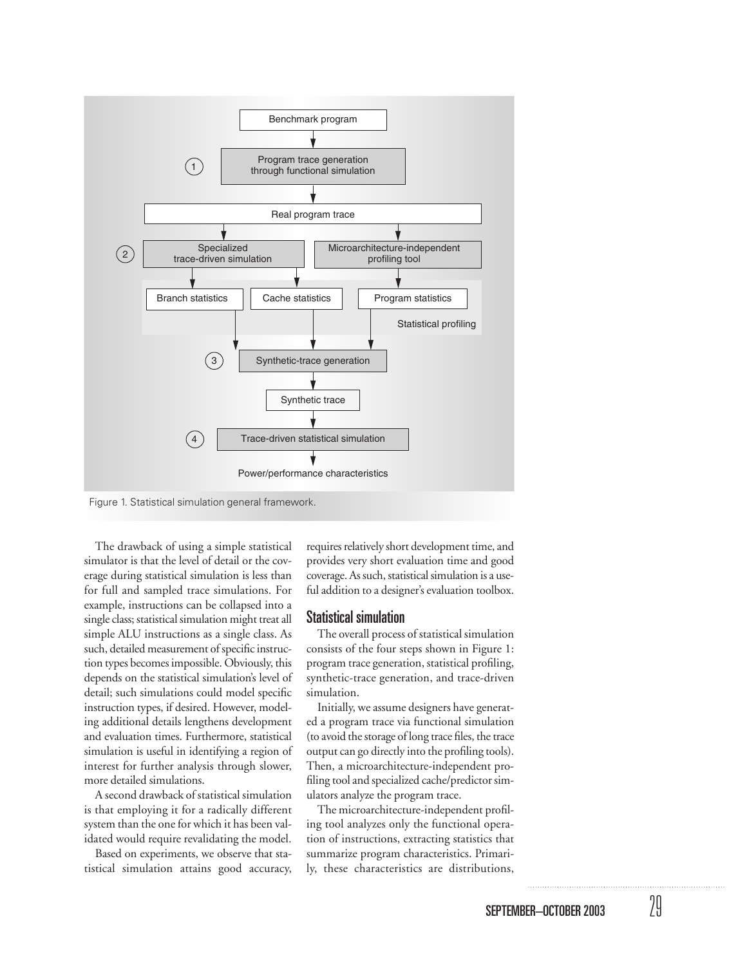

Figure 1. Statistical simulation general framework.

The drawback of using a simple statistical simulator is that the level of detail or the coverage during statistical simulation is less than for full and sampled trace simulations. For example, instructions can be collapsed into a single class; statistical simulation might treat all simple ALU instructions as a single class. As such, detailed measurement of specific instruction types becomes impossible. Obviously, this depends on the statistical simulation's level of detail; such simulations could model specific instruction types, if desired. However, modeling additional details lengthens development and evaluation times. Furthermore, statistical simulation is useful in identifying a region of interest for further analysis through slower, more detailed simulations.

A second drawback of statistical simulation is that employing it for a radically different system than the one for which it has been validated would require revalidating the model.

Based on experiments, we observe that statistical simulation attains good accuracy, requires relatively short development time, and provides very short evaluation time and good coverage. As such, statistical simulation is a useful addition to a designer's evaluation toolbox.

# Statistical simulation

The overall process of statistical simulation consists of the four steps shown in Figure 1: program trace generation, statistical profiling, synthetic-trace generation, and trace-driven simulation.

Initially, we assume designers have generated a program trace via functional simulation (to avoid the storage of long trace files, the trace output can go directly into the profiling tools). Then, a microarchitecture-independent profiling tool and specialized cache/predictor simulators analyze the program trace.

The microarchitecture-independent profiling tool analyzes only the functional operation of instructions, extracting statistics that summarize program characteristics. Primarily, these characteristics are distributions,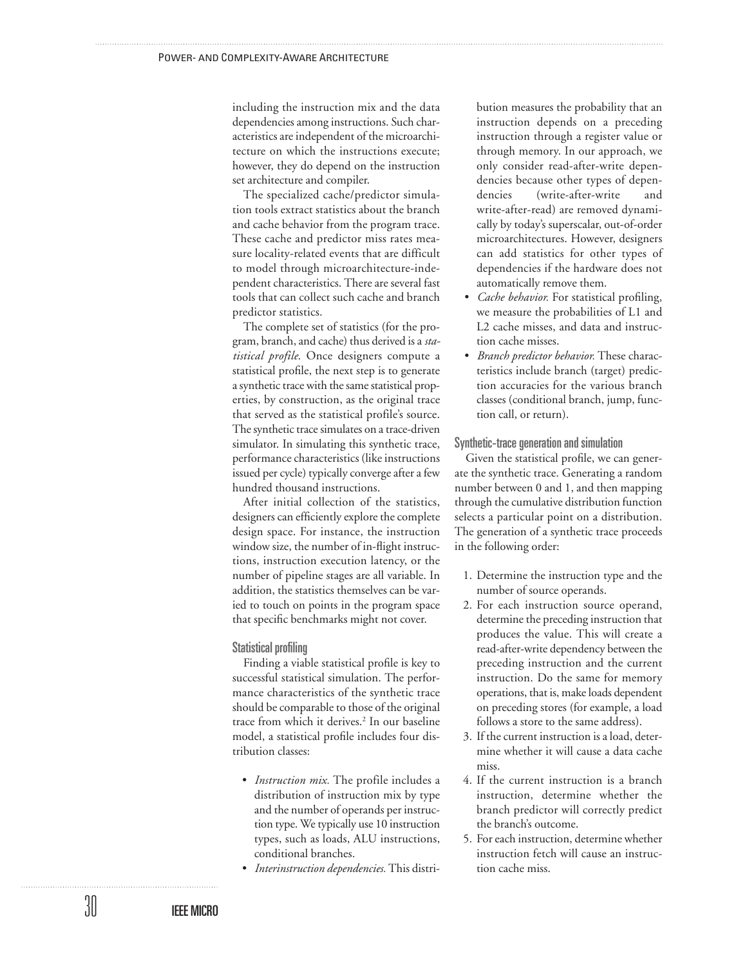including the instruction mix and the data dependencies among instructions. Such characteristics are independent of the microarchitecture on which the instructions execute; however, they do depend on the instruction set architecture and compiler.

The specialized cache/predictor simulation tools extract statistics about the branch and cache behavior from the program trace. These cache and predictor miss rates measure locality-related events that are difficult to model through microarchitecture-independent characteristics. There are several fast tools that can collect such cache and branch predictor statistics.

The complete set of statistics (for the program, branch, and cache) thus derived is a *statistical profile*. Once designers compute a statistical profile, the next step is to generate a synthetic trace with the same statistical properties, by construction, as the original trace that served as the statistical profile's source. The synthetic trace simulates on a trace-driven simulator. In simulating this synthetic trace, performance characteristics (like instructions issued per cycle) typically converge after a few hundred thousand instructions.

After initial collection of the statistics, designers can efficiently explore the complete design space. For instance, the instruction window size, the number of in-flight instructions, instruction execution latency, or the number of pipeline stages are all variable. In addition, the statistics themselves can be varied to touch on points in the program space that specific benchmarks might not cover.

### Statistical profiling

Finding a viable statistical profile is key to successful statistical simulation. The performance characteristics of the synthetic trace should be comparable to those of the original trace from which it derives.<sup>2</sup> In our baseline model, a statistical profile includes four distribution classes:

- *Instruction mix.* The profile includes a distribution of instruction mix by type and the number of operands per instruction type. We typically use 10 instruction types, such as loads, ALU instructions, conditional branches.
- *Interinstruction dependencies.* This distri-

bution measures the probability that an instruction depends on a preceding instruction through a register value or through memory. In our approach, we only consider read-after-write dependencies because other types of dependencies (write-after-write and write-after-read) are removed dynamically by today's superscalar, out-of-order microarchitectures. However, designers can add statistics for other types of dependencies if the hardware does not automatically remove them.

- *Cache behavior.* For statistical profiling, we measure the probabilities of L1 and L2 cache misses, and data and instruction cache misses.
- *Branch predictor behavior.* These characteristics include branch (target) prediction accuracies for the various branch classes (conditional branch, jump, function call, or return).

# Synthetic-trace generation and simulation

Given the statistical profile, we can generate the synthetic trace. Generating a random number between 0 and 1, and then mapping through the cumulative distribution function selects a particular point on a distribution. The generation of a synthetic trace proceeds in the following order:

- 1. Determine the instruction type and the number of source operands.
- 2. For each instruction source operand, determine the preceding instruction that produces the value. This will create a read-after-write dependency between the preceding instruction and the current instruction. Do the same for memory operations, that is, make loads dependent on preceding stores (for example, a load follows a store to the same address).
- 3. If the current instruction is a load, determine whether it will cause a data cache miss.
- 4. If the current instruction is a branch instruction, determine whether the branch predictor will correctly predict the branch's outcome.
- 5. For each instruction, determine whether instruction fetch will cause an instruction cache miss.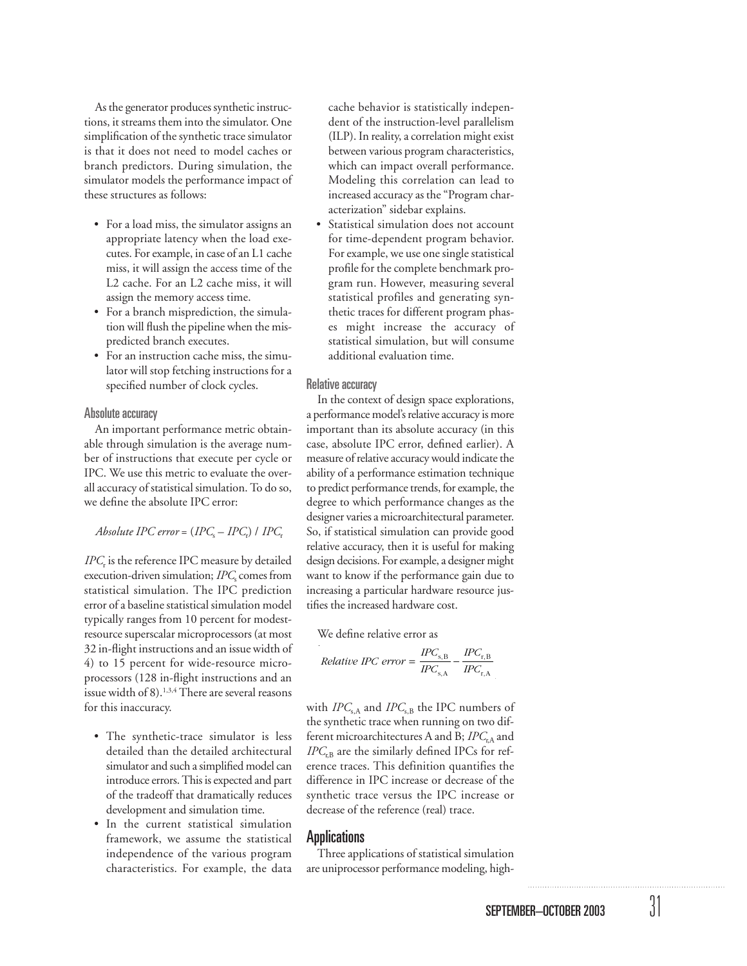As the generator produces synthetic instructions, it streams them into the simulator. One simplification of the synthetic trace simulator is that it does not need to model caches or branch predictors. During simulation, the simulator models the performance impact of these structures as follows:

- For a load miss, the simulator assigns an appropriate latency when the load executes. For example, in case of an L1 cache miss, it will assign the access time of the L2 cache. For an L2 cache miss, it will assign the memory access time.
- For a branch misprediction, the simulation will flush the pipeline when the mispredicted branch executes.
- For an instruction cache miss, the simulator will stop fetching instructions for a specified number of clock cycles.

### Absolute accuracy

An important performance metric obtainable through simulation is the average number of instructions that execute per cycle or IPC. We use this metric to evaluate the overall accuracy of statistical simulation. To do so, we define the absolute IPC error:

# *Absolute IPC error* = (*IPC*<sub>s</sub> – *IPC*<sub>r</sub>) / *IPC*<sub>r</sub>

*IPC*<sup>r</sup> is the reference IPC measure by detailed execution-driven simulation; *IPC*<sub>c</sub> comes from statistical simulation. The IPC prediction error of a baseline statistical simulation model typically ranges from 10 percent for modestresource superscalar microprocessors (at most 32 in-flight instructions and an issue width of 4) to 15 percent for wide-resource microprocessors (128 in-flight instructions and an issue width of  $8$ ).<sup>1,3,4</sup> There are several reasons for this inaccuracy.

- The synthetic-trace simulator is less detailed than the detailed architectural simulator and such a simplified model can introduce errors. This is expected and part of the tradeoff that dramatically reduces development and simulation time.
- In the current statistical simulation framework, we assume the statistical independence of the various program characteristics. For example, the data

cache behavior is statistically independent of the instruction-level parallelism (ILP). In reality, a correlation might exist between various program characteristics, which can impact overall performance. Modeling this correlation can lead to increased accuracy as the "Program characterization" sidebar explains.

Statistical simulation does not account for time-dependent program behavior. For example, we use one single statistical profile for the complete benchmark program run. However, measuring several statistical profiles and generating synthetic traces for different program phases might increase the accuracy of statistical simulation, but will consume additional evaluation time.

## Relative accuracy

In the context of design space explorations, a performance model's relative accuracy is more important than its absolute accuracy (in this case, absolute IPC error, defined earlier). A measure of relative accuracy would indicate the ability of a performance estimation technique to predict performance trends, for example, the degree to which performance changes as the designer varies a microarchitectural parameter. So, if statistical simulation can provide good relative accuracy, then it is useful for making design decisions. For example, a designer might want to know if the performance gain due to increasing a particular hardware resource justifies the increased hardware cost.

We define relative error as

$$
Relative \ IPC \ error = \frac{IPC_{s,B}}{IPC_{s,A}} - \frac{IPC_{r,B}}{IPC_{r,A}}
$$

with  $IPC_{s,A}$  and  $IPC_{s,B}$  the IPC numbers of the synthetic trace when running on two different microarchitectures A and B; *IPC*<sub>rA</sub> and  $IPC_{\text{rB}}$  are the similarly defined IPCs for reference traces. This definition quantifies the difference in IPC increase or decrease of the synthetic trace versus the IPC increase or decrease of the reference (real) trace.

# Applications

Three applications of statistical simulation are uniprocessor performance modeling, high-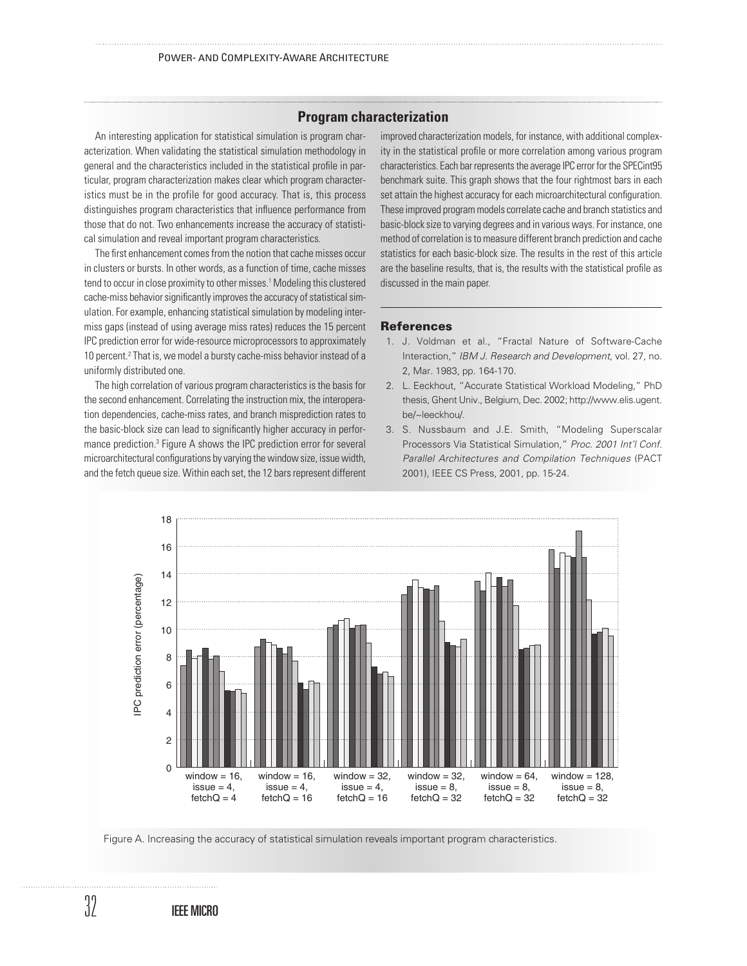# **Program characterization**

An interesting application for statistical simulation is program characterization. When validating the statistical simulation methodology in general and the characteristics included in the statistical profile in particular, program characterization makes clear which program characteristics must be in the profile for good accuracy. That is, this process distinguishes program characteristics that influence performance from those that do not. Two enhancements increase the accuracy of statistical simulation and reveal important program characteristics.

The first enhancement comes from the notion that cache misses occur in clusters or bursts. In other words, as a function of time, cache misses tend to occur in close proximity to other misses.<sup>1</sup> Modeling this clustered cache-miss behavior significantly improves the accuracy of statistical simulation. For example, enhancing statistical simulation by modeling intermiss gaps (instead of using average miss rates) reduces the 15 percent IPC prediction error for wide-resource microprocessors to approximately 10 percent.<sup>2</sup> That is, we model a bursty cache-miss behavior instead of a uniformly distributed one.

The high correlation of various program characteristics is the basis for the second enhancement. Correlating the instruction mix, the interoperation dependencies, cache-miss rates, and branch misprediction rates to the basic-block size can lead to significantly higher accuracy in performance prediction.3 Figure A shows the IPC prediction error for several microarchitectural configurations by varying the window size, issue width, and the fetch queue size. Within each set, the 12 bars represent different

improved characterization models, for instance, with additional complexity in the statistical profile or more correlation among various program characteristics. Each bar represents the average IPC error for the SPECint95 benchmark suite. This graph shows that the four rightmost bars in each set attain the highest accuracy for each microarchitectural configuration. These improved program models correlate cache and branch statistics and basic-block size to varying degrees and in various ways. For instance, one method of correlation is to measure different branch prediction and cache statistics for each basic-block size. The results in the rest of this article are the baseline results, that is, the results with the statistical profile as discussed in the main paper.

### **References**

- 1. J. Voldman et al., "Fractal Nature of Software-Cache Interaction," *IBM J. Research and Development*, vol. 27, no. 2, Mar. 1983, pp. 164-170.
- 2. L. Eeckhout, "Accurate Statistical Workload Modeling," PhD thesis, Ghent Univ., Belgium, Dec. 2002; http://www.elis.ugent. be/~leeckhou/.
- 3. S. Nussbaum and J.E. Smith, "Modeling Superscalar Processors Via Statistical Simulation," *Proc. 2001 Int'l Conf. Parallel Architectures and Compilation Techniques* (PACT 2001), IEEE CS Press, 2001, pp. 15-24.



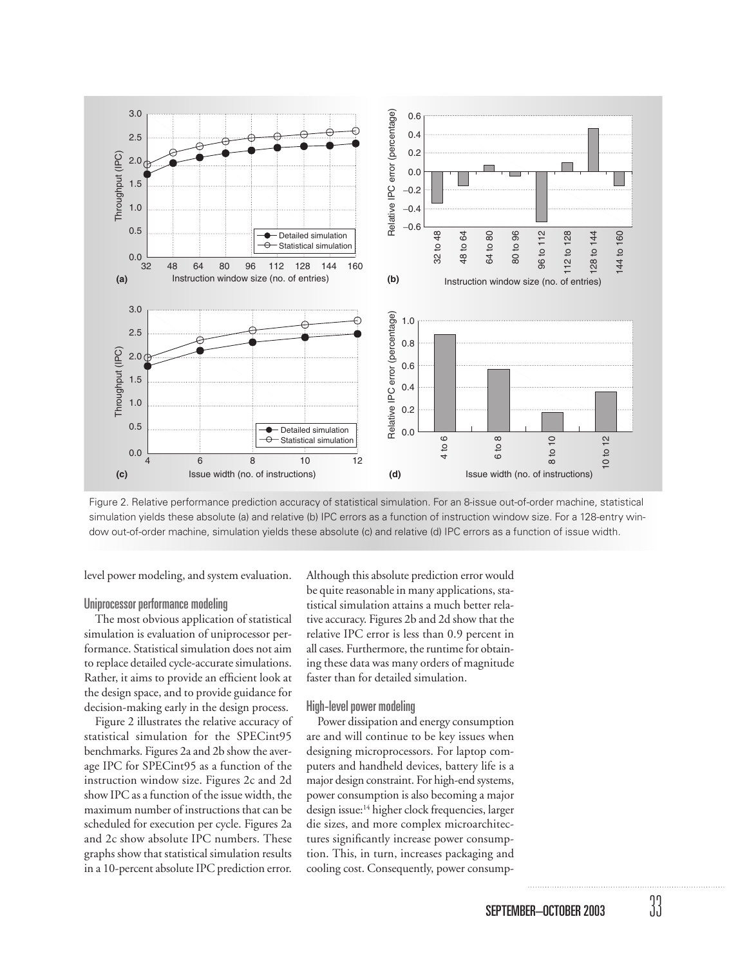

Figure 2. Relative performance prediction accuracy of statistical simulation. For an 8-issue out-of-order machine, statistical simulation yields these absolute (a) and relative (b) IPC errors as a function of instruction window size. For a 128-entry window out-of-order machine, simulation yields these absolute (c) and relative (d) IPC errors as a function of issue width.

level power modeling, and system evaluation.

# Uniprocessor performance modeling

The most obvious application of statistical simulation is evaluation of uniprocessor performance. Statistical simulation does not aim to replace detailed cycle-accurate simulations. Rather, it aims to provide an efficient look at the design space, and to provide guidance for decision-making early in the design process.

Figure 2 illustrates the relative accuracy of statistical simulation for the SPECint95 benchmarks. Figures 2a and 2b show the average IPC for SPECint95 as a function of the instruction window size. Figures 2c and 2d show IPC as a function of the issue width, the maximum number of instructions that can be scheduled for execution per cycle. Figures 2a and 2c show absolute IPC numbers. These graphs show that statistical simulation results in a 10-percent absolute IPC prediction error.

Although this absolute prediction error would be quite reasonable in many applications, statistical simulation attains a much better relative accuracy. Figures 2b and 2d show that the relative IPC error is less than 0.9 percent in all cases. Furthermore, the runtime for obtaining these data was many orders of magnitude faster than for detailed simulation.

# High-level power modeling

Power dissipation and energy consumption are and will continue to be key issues when designing microprocessors. For laptop computers and handheld devices, battery life is a major design constraint. For high-end systems, power consumption is also becoming a major design issue:14 higher clock frequencies, larger die sizes, and more complex microarchitectures significantly increase power consumption. This, in turn, increases packaging and cooling cost. Consequently, power consump-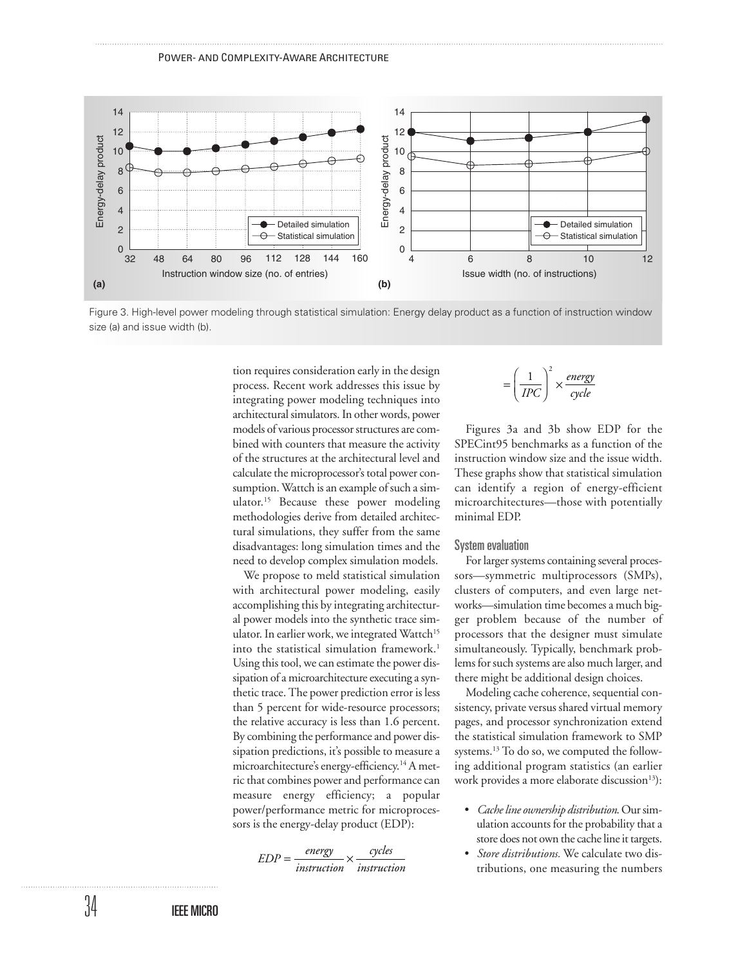

Figure 3. High-level power modeling through statistical simulation: Energy delay product as a function of instruction window size (a) and issue width (b).

tion requires consideration early in the design process. Recent work addresses this issue by integrating power modeling techniques into architectural simulators. In other words, power models of various processor structures are combined with counters that measure the activity of the structures at the architectural level and calculate the microprocessor's total power consumption. Wattch is an example of such a simulator.<sup>15</sup> Because these power modeling methodologies derive from detailed architectural simulations, they suffer from the same disadvantages: long simulation times and the need to develop complex simulation models.

We propose to meld statistical simulation with architectural power modeling, easily accomplishing this by integrating architectural power models into the synthetic trace simulator. In earlier work, we integrated Wattch<sup>15</sup> into the statistical simulation framework.<sup>1</sup> Using this tool, we can estimate the power dissipation of a microarchitecture executing a synthetic trace. The power prediction error is less than 5 percent for wide-resource processors; the relative accuracy is less than 1.6 percent. By combining the performance and power dissipation predictions, it's possible to measure a microarchitecture's energy-efficiency.14 A metric that combines power and performance can measure energy efficiency; a popular power/performance metric for microprocessors is the energy-delay product (EDP):

$$
EDP = \frac{energy}{instruction} \times \frac{cycles}{instruction}
$$

$$
= \left(\frac{1}{IPC}\right)^2 \times \frac{energy}{cycle}
$$

Figures 3a and 3b show EDP for the SPECint95 benchmarks as a function of the instruction window size and the issue width. These graphs show that statistical simulation can identify a region of energy-efficient microarchitectures—those with potentially minimal EDP.

### System evaluation

For larger systems containing several processors—symmetric multiprocessors (SMPs), clusters of computers, and even large networks—simulation time becomes a much bigger problem because of the number of processors that the designer must simulate simultaneously. Typically, benchmark problems for such systems are also much larger, and there might be additional design choices.

Modeling cache coherence, sequential consistency, private versus shared virtual memory pages, and processor synchronization extend the statistical simulation framework to SMP systems.<sup>13</sup> To do so, we computed the following additional program statistics (an earlier work provides a more elaborate discussion<sup>13</sup>):

- *Cache line ownership distribution*. Our simulation accounts for the probability that a store does not own the cache line it targets.
- *Store distributions.* We calculate two distributions, one measuring the numbers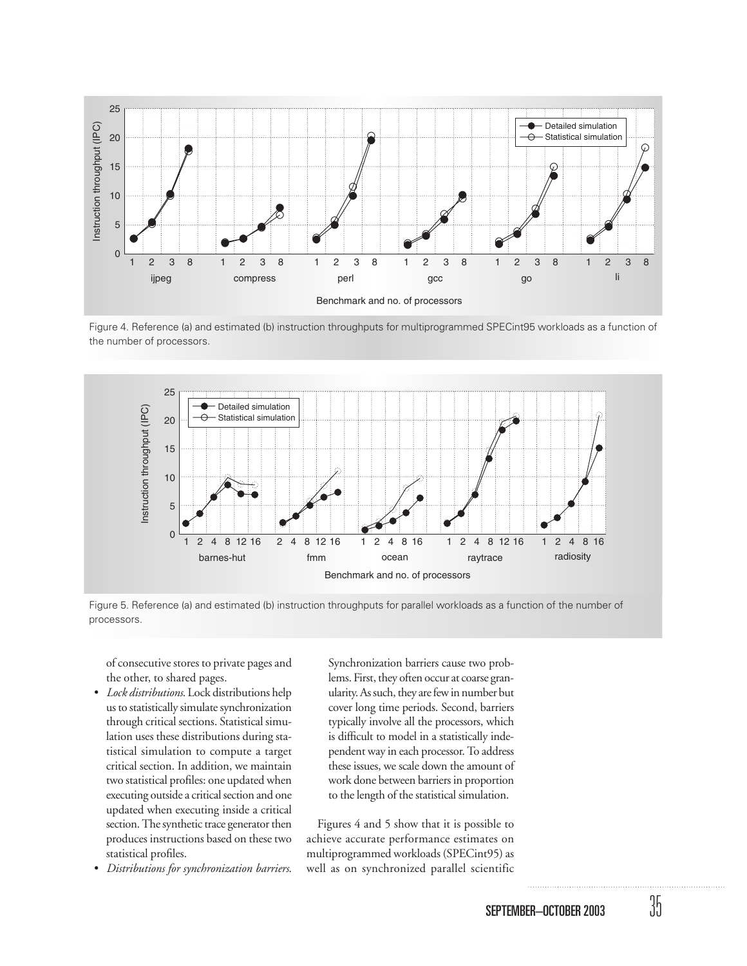

Figure 4. Reference (a) and estimated (b) instruction throughputs for multiprogrammed SPECint95 workloads as a function of the number of processors.



Figure 5. Reference (a) and estimated (b) instruction throughputs for parallel workloads as a function of the number of processors.

of consecutive stores to private pages and the other, to shared pages.

- *Lock distributions*. Lock distributions help us to statistically simulate synchronization through critical sections. Statistical simulation uses these distributions during statistical simulation to compute a target critical section. In addition, we maintain two statistical profiles: one updated when executing outside a critical section and one updated when executing inside a critical section. The synthetic trace generator then produces instructions based on these two statistical profiles.
- *Distributions for synchronization barriers*.

Synchronization barriers cause two problems. First, they often occur at coarse granularity. As such, they are few in number but cover long time periods. Second, barriers typically involve all the processors, which is difficult to model in a statistically independent way in each processor. To address these issues, we scale down the amount of work done between barriers in proportion to the length of the statistical simulation.

Figures 4 and 5 show that it is possible to achieve accurate performance estimates on multiprogrammed workloads (SPECint95) as well as on synchronized parallel scientific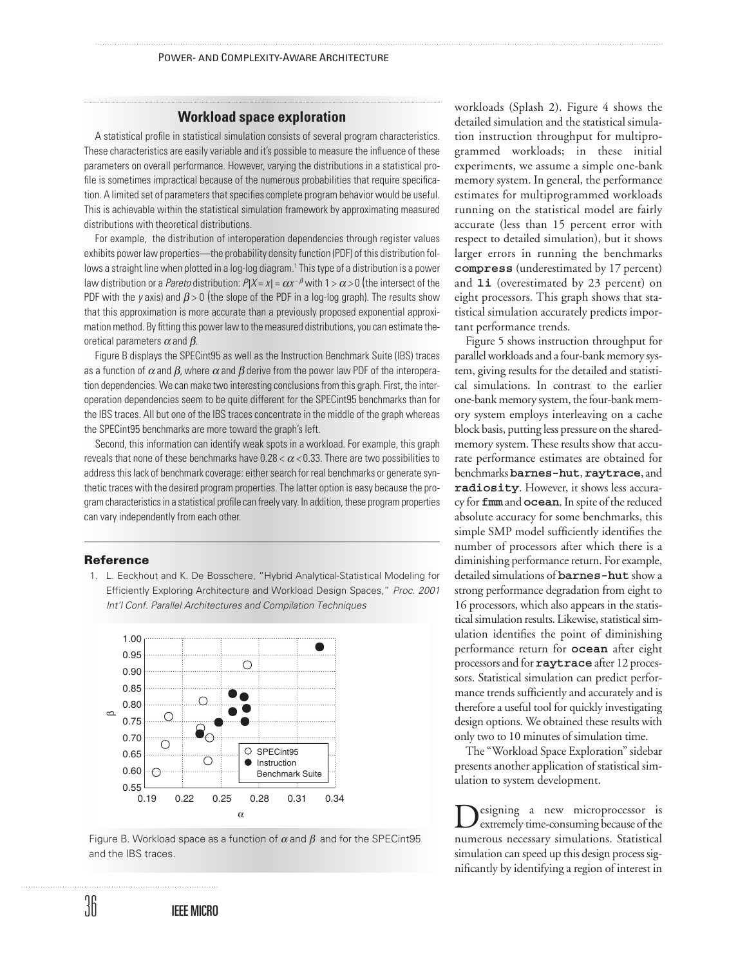# **Workload space exploration**

A statistical profile in statistical simulation consists of several program characteristics. These characteristics are easily variable and it's possible to measure the influence of these parameters on overall performance. However, varying the distributions in a statistical profile is sometimes impractical because of the numerous probabilities that require specification. A limited set of parameters that specifies complete program behavior would be useful. This is achievable within the statistical simulation framework by approximating measured distributions with theoretical distributions.

For example, the distribution of interoperation dependencies through register values exhibits power law properties—the probability density function (PDF) of this distribution follows a straight line when plotted in a log-log diagram.<sup>1</sup> This type of a distribution is a power law distribution or a *Pareto* distribution:  $P|X = x| = \alpha x^{-\beta}$  with  $1 > \alpha > 0$  (the intersect of the PDF with the *y* axis) and  $\beta > 0$  (the slope of the PDF in a log-log graph). The results show that this approximation is more accurate than a previously proposed exponential approximation method. By fitting this power law to the measured distributions, you can estimate theoretical parameters <sup>α</sup> and β*.*

Figure B displays the SPECint95 as well as the Instruction Benchmark Suite (IBS) traces as a function of  $\alpha$  and  $\beta$ , where  $\alpha$  and  $\beta$  derive from the power law PDF of the interoperation dependencies. We can make two interesting conclusions from this graph. First, the interoperation dependencies seem to be quite different for the SPECint95 benchmarks than for the IBS traces. All but one of the IBS traces concentrate in the middle of the graph whereas the SPECint95 benchmarks are more toward the graph's left.

Second, this information can identify weak spots in a workload. For example, this graph reveals that none of these benchmarks have  $0.28 < \alpha < 0.33$ . There are two possibilities to address this lack of benchmark coverage: either search for real benchmarks or generate synthetic traces with the desired program properties. The latter option is easy because the program characteristics in a statistical profile can freely vary. In addition, these program properties can vary independently from each other.

### **Reference**

1. L. Eeckhout and K. De Bosschere, "Hybrid Analytical-Statistical Modeling for Efficiently Exploring Architecture and Workload Design Spaces," *Proc. 2001 Int'l Conf. Parallel Architectures and Compilation Techniques* 



Figure B. Workload space as a function of  $\alpha$  and  $\beta$  and for the SPECint95 and the IBS traces.

workloads (Splash 2). Figure 4 shows the detailed simulation and the statistical simulation instruction throughput for multiprogrammed workloads; in these initial experiments, we assume a simple one-bank memory system. In general, the performance estimates for multiprogrammed workloads running on the statistical model are fairly accurate (less than 15 percent error with respect to detailed simulation), but it shows larger errors in running the benchmarks compress (underestimated by 17 percent) and  $1\textbf{i}$  (overestimated by 23 percent) on eight processors. This graph shows that statistical simulation accurately predicts important performance trends.

Figure 5 shows instruction throughput for parallel workloads and a four-bank memory system, giving results for the detailed and statistical simulations. In contrast to the earlier one-bank memory system, the four-bank memory system employs interleaving on a cache block basis, putting less pressure on the sharedmemory system. These results show that accurate performance estimates are obtained for benchmarks barnes-hut, raytrace, and radiosity. However, it shows less accuracy for fmm and ocean. In spite of the reduced absolute accuracy for some benchmarks, this simple SMP model sufficiently identifies the number of processors after which there is a diminishing performance return. For example, detailed simulations of **barnes-hut** show a strong performance degradation from eight to 16 processors, which also appears in the statistical simulation results. Likewise, statistical simulation identifies the point of diminishing performance return for ocean after eight processors and for raytrace after 12 processors. Statistical simulation can predict performance trends sufficiently and accurately and is therefore a useful tool for quickly investigating design options. We obtained these results with only two to 10 minutes of simulation time.

The "Workload Space Exploration" sidebar presents another application of statistical simulation to system development.

esigning a new microprocessor is extremely time-consuming because of the numerous necessary simulations. Statistical simulation can speed up this design process significantly by identifying a region of interest in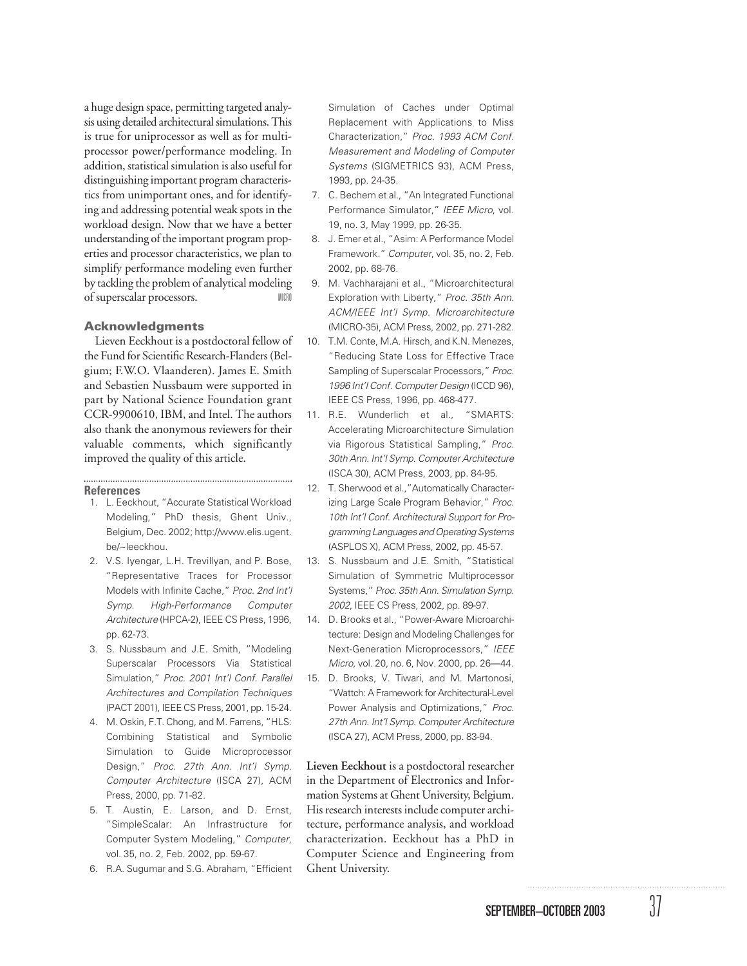a huge design space, permitting targeted analysis using detailed architectural simulations. This is true for uniprocessor as well as for multiprocessor power/performance modeling. In addition, statistical simulation is also useful for distinguishing important program characteristics from unimportant ones, and for identifying and addressing potential weak spots in the workload design. Now that we have a better understanding of the important program properties and processor characteristics, we plan to simplify performance modeling even further by tackling the problem of analytical modeling of superscalar processors. MICRO

# **Acknowledgments**

Lieven Eeckhout is a postdoctoral fellow of the Fund for Scientific Research-Flanders (Belgium; F.W.O. Vlaanderen). James E. Smith and Sebastien Nussbaum were supported in part by National Science Foundation grant CCR-9900610, IBM, and Intel. The authors also thank the anonymous reviewers for their valuable comments, which significantly improved the quality of this article.

### **References**

1. L. Eeckhout, "Accurate Statistical Workload Modeling," PhD thesis, Ghent Univ., Belgium, Dec. 2002; http://www.elis.ugent. be/~leeckhou.

- 2. V.S. Iyengar, L.H. Trevillyan, and P. Bose, "Representative Traces for Processor Models with Infinite Cache," *Proc. 2nd Int'l Symp. High-Performance Computer Architecture* (HPCA-2), IEEE CS Press, 1996, pp. 62-73.
- 3. S. Nussbaum and J.E. Smith, "Modeling Superscalar Processors Via Statistical Simulation," *Proc. 2001 Int'l Conf. Parallel Architectures and Compilation Techniques* (PACT 2001), IEEE CS Press, 2001, pp. 15-24.
- 4. M. Oskin, F.T. Chong, and M. Farrens, "HLS: Combining Statistical and Symbolic Simulation to Guide Microprocessor Design," *Proc. 27th Ann. Int'l Symp. Computer Architecture* (ISCA 27), ACM Press, 2000, pp. 71-82.
- 5. T. Austin, E. Larson, and D. Ernst, "SimpleScalar: An Infrastructure for Computer System Modeling," *Computer*, vol. 35, no. 2, Feb. 2002, pp. 59-67.
- 6. R.A. Sugumar and S.G. Abraham, "Efficient

Simulation of Caches under Optimal Replacement with Applications to Miss Characterization," *Proc. 1993 ACM Conf. Measurement and Modeling of Computer Systems* (SIGMETRICS 93), ACM Press, 1993, pp. 24-35.

- 7. C. Bechem et al., "An Integrated Functional Performance Simulator," *IEEE Micro*, vol. 19, no. 3, May 1999, pp. 26-35.
- 8. J. Emer et al., "Asim: A Performance Model Framework." *Computer*, vol. 35, no. 2, Feb. 2002, pp. 68-76.
- 9. M. Vachharajani et al., "Microarchitectural Exploration with Liberty," *Proc. 35th Ann. ACM/IEEE Int'l Symp. Microarchitecture* (MICRO-35), ACM Press, 2002, pp. 271-282.
- 10. T.M. Conte, M.A. Hirsch, and K.N. Menezes, "Reducing State Loss for Effective Trace Sampling of Superscalar Processors," *Proc. 1996 Int'l Conf. Computer Design* (ICCD 96), IEEE CS Press, 1996, pp. 468-477.
- 11. R.E. Wunderlich et al., "SMARTS: Accelerating Microarchitecture Simulation via Rigorous Statistical Sampling," *Proc. 30th Ann. Int'l Symp. Computer Architecture* (ISCA 30), ACM Press, 2003, pp. 84-95.
- 12. T. Sherwood et al.,"Automatically Characterizing Large Scale Program Behavior," *Proc. 10th Int'l Conf. Architectural Support for Programming Languages and Operating Systems* (ASPLOS X), ACM Press, 2002, pp. 45-57.
- 13. S. Nussbaum and J.E. Smith, "Statistical Simulation of Symmetric Multiprocessor Systems," *Proc. 35th Ann. Simulation Symp. 2002*, IEEE CS Press, 2002, pp. 89-97.
- 14. D. Brooks et al., "Power-Aware Microarchitecture: Design and Modeling Challenges for Next-Generation Microprocessors," *IEEE Micro*, vol. 20, no. 6, Nov. 2000, pp. 26—44.
- 15. D. Brooks, V. Tiwari, and M. Martonosi, "Wattch: A Framework for Architectural-Level Power Analysis and Optimizations," *Proc. 27th Ann. Int'l Symp. Computer Architecture* (ISCA 27), ACM Press, 2000, pp. 83-94.

**Lieven Eeckhout** is a postdoctoral researcher in the Department of Electronics and Information Systems at Ghent University, Belgium. His research interests include computer architecture, performance analysis, and workload characterization. Eeckhout has a PhD in Computer Science and Engineering from Ghent University.